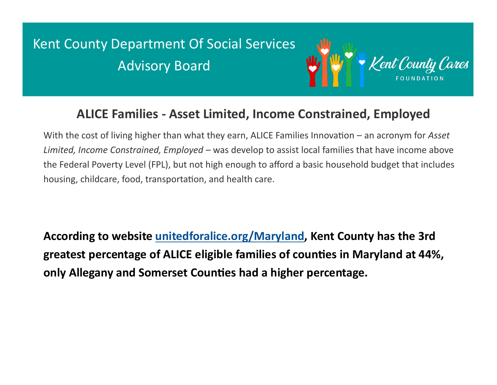## Kent County Department Of Social Services Advisory Board



## **ALICE Families - Asset Limited, Income Constrained, Employed**

With the cost of living higher than what they earn, ALICE Families Innovation – an acronym for *Asset Limited, Income Constrained, Employed* – was develop to assist local families that have income above the Federal Poverty Level (FPL), but not high enough to afford a basic household budget that includes housing, childcare, food, transportation, and health care.

**According to website [unitedforalice.org/Maryland,](http://unitedforalice.org/Maryland) Kent County has the 3rd greatest percentage of ALICE eligible families of counties in Maryland at 44%, only Allegany and Somerset Counties had a higher percentage.**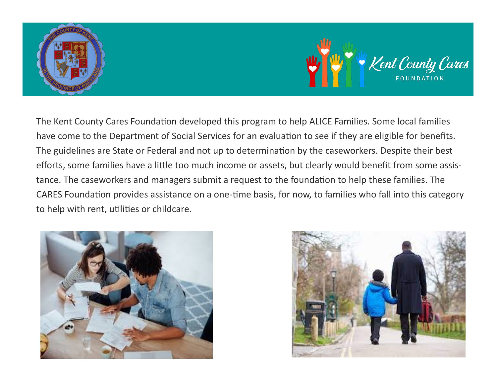



The Kent County Cares Foundation developed this program to help ALICE Families. Some local families have come to the Department of Social Services for an evaluation to see if they are eligible for benefits. The guidelines are State or Federal and not up to determination by the caseworkers. Despite their best efforts, some families have a little too much income or assets, but clearly would benefit from some assistance. The caseworkers and managers submit a request to the foundation to help these families. The CARES Foundation provides assistance on a one-time basis, for now, to families who fall into this category to help with rent, utilities or childcare.



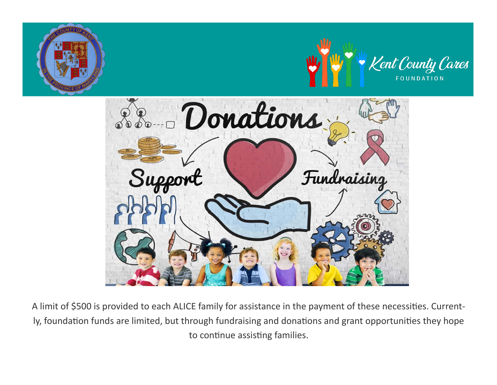

A limit of \$500 is provided to each ALICE family for assistance in the payment of these necessities. Currently, foundation funds are limited, but through fundraising and donations and grant opportunities they hope to continue assisting families.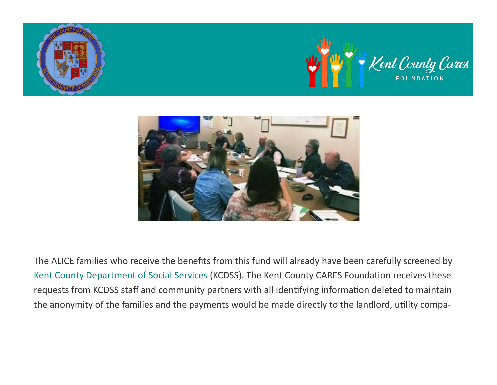





The ALICE families who receive the benefits from this fund will already have been carefully screened by [Kent County Department of Social Services](https://www.kentcounty.com/government-offices/kent-county-department-of-social-services) (KCDSS). The Kent County CARES Foundation receives these requests from KCDSS staff and community partners with all identifying information deleted to maintain the anonymity of the families and the payments would be made directly to the landlord, utility compa-